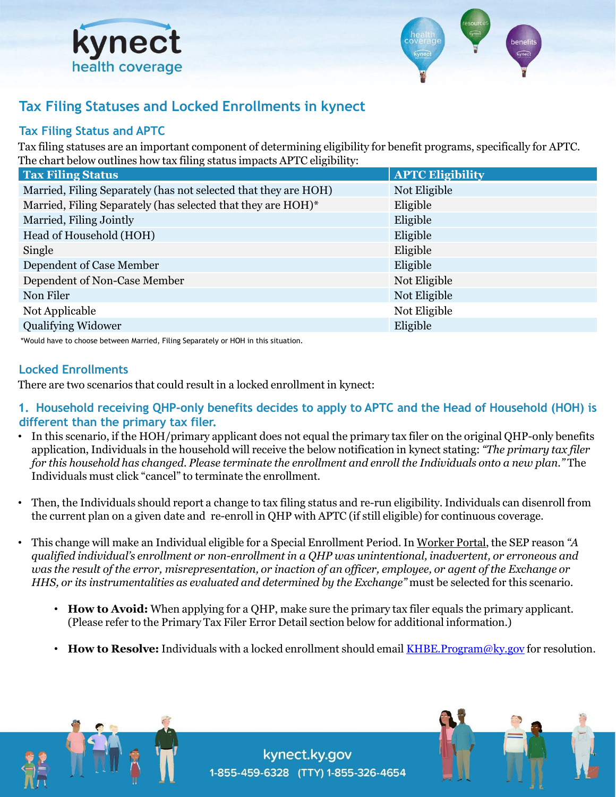



## **Tax Filing Statuses and Locked Enrollments in kynect**

## **Tax Filing Status and APTC**

Tax filing statuses are an important component of determining eligibility for benefit programs, specifically for APTC. The chart below outlines how tax filing status impacts APTC eligibility:

| <b>Tax Filing Status</b>                                        | <b>APTC Eligibility</b> |
|-----------------------------------------------------------------|-------------------------|
| Married, Filing Separately (has not selected that they are HOH) | Not Eligible            |
| Married, Filing Separately (has selected that they are HOH)*    | Eligible                |
| Married, Filing Jointly                                         | Eligible                |
| Head of Household (HOH)                                         | Eligible                |
| Single                                                          | Eligible                |
| Dependent of Case Member                                        | Eligible                |
| Dependent of Non-Case Member                                    | Not Eligible            |
| Non Filer                                                       | Not Eligible            |
| Not Applicable                                                  | Not Eligible            |
| <b>Qualifying Widower</b>                                       | Eligible                |
|                                                                 |                         |

\*Would have to choose between Married, Filing Separately or HOH in this situation.

## **Locked Enrollments**

There are two scenarios that could result in a locked enrollment in kynect:

- **1. Household receiving QHP-only benefits decides to apply to APTC and the Head of Household (HOH) is different than the primary tax filer.**
- In this scenario, if the HOH/primary applicant does not equal the primary tax filer on the original QHP-only benefits application, Individuals in the household will receive the below notification in kynect stating: *"The primary tax filer for this household has changed. Please terminate the enrollment and enroll the Individuals onto a new plan."* The Individuals must click "cancel" to terminate the enrollment.
- Then, the Individuals should report a change to tax filing status and re-run eligibility. Individuals can disenroll from the current plan on a given date and re-enroll in QHP with APTC (if still eligible) for continuous coverage.
- This change will make an Individual eligible for a Special Enrollment Period. In Worker Portal, the SEP reason *"A qualified individual's enrollment or non-enrollment in a QHP was unintentional, inadvertent, or erroneous and was the result of the error, misrepresentation, or inaction of an officer, employee, or agent of the Exchange or HHS, or its instrumentalities as evaluated and determined by the Exchange"* must be selected for this scenario.
	- **How to Avoid:** When applying for a QHP, make sure the primary tax filer equals the primary applicant. (Please refer to the Primary Tax Filer Error Detail section below for additional information.)
	- **How to Resolve:** Individuals with a locked enrollment should email KHBE. Program@ky.gov for resolution.